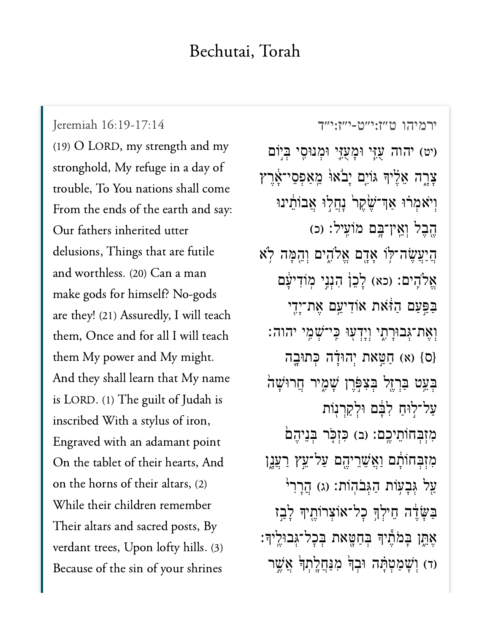## Bechutai, Torah

[ירמיהו ט״ז:י״ט-י״ז:י״ד](https://www.sefaria.org/Jeremiah%2016:19-17:14) [16:19-17:14 Jeremiah](https://www.sefaria.org/Jeremiah%2016:19-17:14) (19) O LORD, my strength and my stronghold, My refuge in a day of trouble, To You nations shall come From the ends of the earth and say: Our fathers inherited utter delusions, Things that are futile and worthless. (20) Can a man make gods for himself? No-gods are they! (21) Assuredly, I will teach them, Once and for all I will teach them My power and My might. And they shall learn that My name is LORD. (1) The guilt of Judah is inscribed With a stylus of iron, Engraved with an adamant point On the tablet of their hearts, And on the horns of their altars, (2) While their children remember Their altars and sacred posts, By verdant trees, Upon lofty hills. (3) Because of the sin of your shrines

יט) יהוה עָזֶי וּמָעְזֵי וּמְנוּסִי בִּיְוֹם ָצָרֶה אֱלֵיִךְ גּוֹיֶם יָבֹאוּ מֵאַפְסֵי־אֶרֵץ וִיֹאמְרֹוּ אַךְ־שֶׂקֵר<sup>וֹ</sup> נָחֲלִוּ אֲבוֹתֵינוּ ֶהֶבֶל וְאֵין־בְּם מֹוֹעֵיל: (כ) ֲה ַי ֲע ֶׂש ה־ּ֥ל ֹו ָא ָ֖ד ם ֱא ֹלִ֑ה ים ְו ֵ֖ה ָּמ ה ֹ֥ל א אֱלֹהֶים: (כא) לָכֵן הָנְנֵי מְוֹדִיעָּׁם בַּפְּעַם הַזֹּאת אוֹדִיעֵם אֵת־יָדִי וְאֶת־גְּבוּרָתֶי וְיָדְעִוּ כֵּי־*ּשָׁמֵי יהוה*: (ס} (א) חַטֵּאת יְהוּדָה כְּתוּבֶה בְּעֵט בַּרְזֶל בִּצְפָּרֵן שָׁמֶיר חֲרוּשָׁה ַעל־לִוּח לְבֵּם וּלְקְרְנָוֹת מִזְבְּחוֹתֵיכֵם: (ב) כִּזְכָּר בְּנֵיהֶם מִזְבְּחוֹתָם וַאֲשֵׁרֵיהֵם עַל־עֵץ <u>רעֲנ</u>ֶן עַל גִּבָעְוֹת הַגְּבֹהְוֹת: (ג) הֲרָרִי ַּבַּשֲׂדֶה חֵילְךָּ כָל־אוֹצְרוֹתֵיךָּ לָבֵז ָאֶתֶן בְּמֹתֵיךְ בִּחַטָּאת בִּכְל־גִּבוּלֵיךָ: ר) וְשָׁמַטְתָּה וּבְךָּ מִנַּחֲלֵתְךָ אֲשֵׁר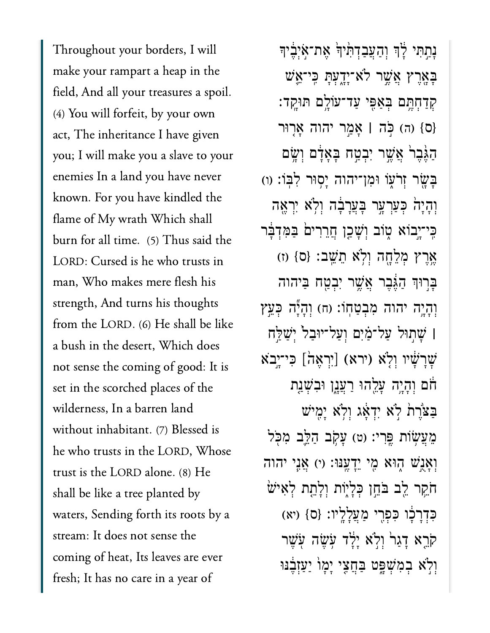Throughout your borders, I will make your rampart a heap in the field, And all your treasures a spoil. (4) You will forfeit, by your own act, The inheritance I have given you; I will make you a slave to your enemies In a land you have never known. For you have kindled the flame of My wrath Which shall burn for all time. (5) Thus said the LORD: Cursed is he who trusts in man, Who makes mere flesh his strength, And turns his thoughts from the LORD. (6) He shall be like a bush in the desert, Which does not sense the coming of good: It is set in the scorched places of the wilderness, In a barren land without inhabitant. (7) Blessed is he who trusts in the LORD, Whose trust is the LORD alone. (8) He shall be like a tree planted by waters, Sending forth its roots by a stream: It does not sense the coming of heat, Its leaves are ever fresh; It has no care in a year of

**ּנַתִּתִּי לְׂךְ וְהַעֲבַדְהְּיִךְׂ אֱת־אִיְבֵי**ךָ ָּבְאֶרֶץ אֲשֶׁר לֹא־יָדָעָתּ כִּי־אֲשׁ ַקְדַחָּתֵּם בְּאַפִּי עַד־עֹוֹלֵֵם תּוּקֵד: }ס{ )ה( ֹּ֣כה **׀** ָאַ֣מר יהוה ָא֤רּור ַהֲגֶּבֵר אֲשֶׁר יִבְטָח בָּאָדָם וְשָׂם ַּבְּעֲׂר זְרֹעָוֹ וּמְן־יהוה יַסְוּר לְבִוֹ: (ו) וְהָיָה ּכְעַרְעָר בָּעֲרָבָ֫ה וִלְא יִרְאֵה ּבִּי־יָבוֹא מָוֹב וְשָׁכֵן חֲרֵרִים בַּמִּדְבָּר ֶ֥אֶרץ ְמֵלָ֖חה ְוֹ֥לא ֵתֵֽׁשב׃ }ס{ )ז( ַּבְרִוּךְ הַגֶּׁבֵר אֲשֶׁר יִבְטַח בַּיִהוה וְהָיֶה יהוה מִבְטַחְוֹ: (ח) וְהָיֶّה כִּעֵּץ **| שַׁתִּוּל עַל־מַׂיִם וְעַל־יּוּבַל** יִּשַׁלַּח ַּעֲרָשָׁיו וְלָא (ירא) [יִרְאֶה] כִּי־יָבֹא ֹחֹם וְהָיֶה עָלֵהוּ רַעֲנָן וּבְשָׁנַת ַּבְצֹּרֶת לְא יִדְאָג וְלְא יָמֵישׁ מֵעֲשָׂוֹת פֵּרִי: (ט) עַקב הַלֵּב מִכִּל ּוְאַנֵּשׁ הִוּא מֵי יֵדְעֵנּוּ: (י) אֲנֵי יהוה ֹחֹקֵר לֵב בֹּחֵוְ כִּלְיָוֹת וְלָתֵת לְאִישׁ ִּכְדָרָ֔כו ִּכְפִ֖רי ַמֲעָלָֽליו׃ }ס{ )יא( קֹרֵא דַגַר<sup>י</sup> וְלִ<sup>יָ</sup>א יַלַּד עִׂשֶׂה עִׂשֶׁר וִלְׂא ִבְמְּשָׁפֵּט בַּחֲצִי יָמָוֹ יַעַזְבֵנּוּ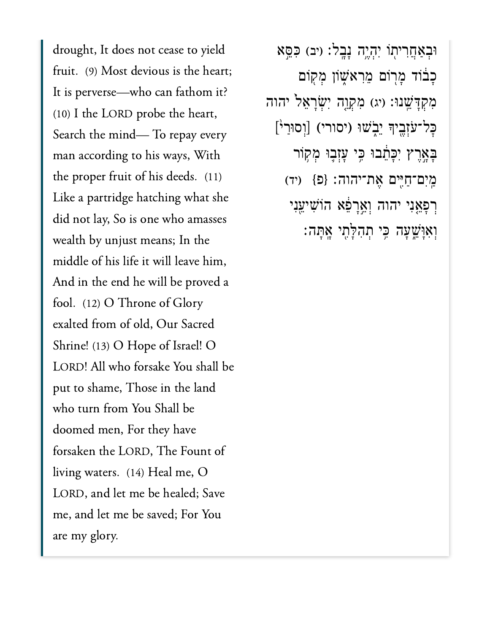drought, It does not cease to yield fruit. (9) Most devious is the heart; It is perverse—who can fathom it? (10) I the LORD probe the heart, Search the mind— To repay every man according to his ways, With the proper fruit of his deeds. (11) Like a partridge hatching what she did not lay, So is one who amasses wealth by unjust means; In the middle of his life it will leave him, And in the end he will be proved a fool. (12) O Throne of Glory exalted from of old, Our Sacred Shrine! (13) O Hope of Israel! O LORD! All who forsake You shall be put to shame, Those in the land who turn from You Shall be doomed men, For they have forsaken the LORD, The Fount of living waters. (14) Heal me, O LORD, and let me be healed; Save me, and let me be saved; For You are my glory.

ּוּבְאַחֲרִיתְוֹ יִהְיֶה נָבֶל: (יִּב) כִּפֵּא ּכְבֹוֹד מְרָוֹם מֵרִאֹשֶׁוֹן מְקִוֹם מִקְדָּשֵׁנוּ: (יג) מִקְוֶה יִשְׂרָאֵל יהוה ׇּכל־ֹעְזֶ֖ביָך ֵיֹ֑בׁשּו )יסורי( ]ְוסּוַר֙י[ ּבְאֲרֶץ יִכְּחֵבוּ כִִּי עָזְבֶוּ מְקִוֹר ַֽמִים־ַחִּ֖יים ֶאת־יהוה׃ }פ{ )יד( ְרָפֵ֤אִני יהוה ְוֵ֣אָרֵ֔פא הֹוִׁשיֵ֖עִני ְוִאָּוֵׁ֑שָעה ִּ֥כי ְתִהָּלִ֖תי ָֽאָּתה׃